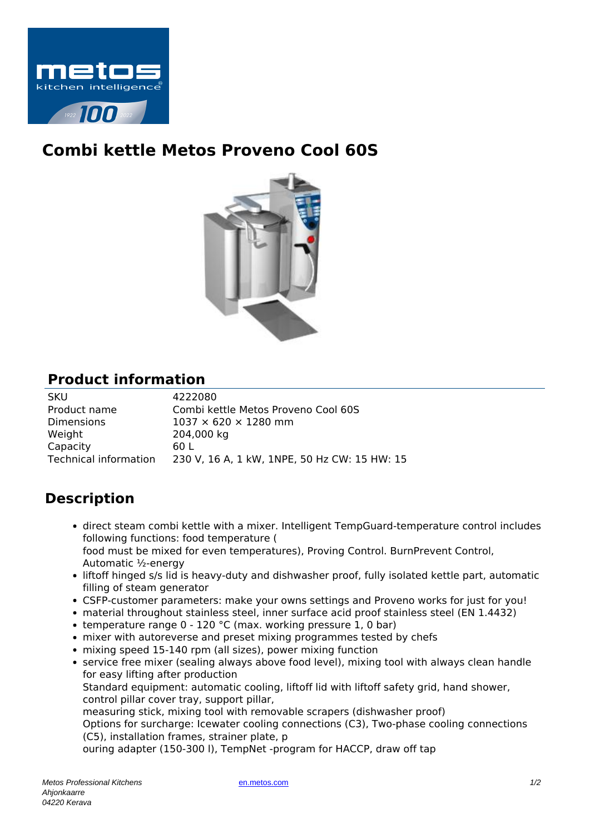

## **Combi kettle Metos Proveno Cool 60S**



## **Product information**

| <b>SKU</b>            | 4222080                                      |
|-----------------------|----------------------------------------------|
| Product name          | Combi kettle Metos Proveno Cool 60S          |
| <b>Dimensions</b>     | $1037 \times 620 \times 1280$ mm             |
| Weight                | 204,000 kg                                   |
| Capacity              | 60 L                                         |
| Technical information | 230 V, 16 A, 1 kW, 1NPE, 50 Hz CW: 15 HW: 15 |

## **Description**

- direct steam combi kettle with a mixer. Intelligent TempGuard-temperature control includes following functions: food temperature ( food must be mixed for even temperatures), Proving Control. BurnPrevent Control, Automatic ½-energy
- liftoff hinged s/s lid is heavy-duty and dishwasher proof, fully isolated kettle part, automatic filling of steam generator
- CSFP-customer parameters: make your owns settings and Proveno works for just for you!
- material throughout stainless steel, inner surface acid proof stainless steel (EN 1.4432)
- temperature range  $0 120$  °C (max. working pressure 1, 0 bar)
- mixer with autoreverse and preset mixing programmes tested by chefs
- mixing speed 15-140 rpm (all sizes), power mixing function
- service free mixer (sealing always above food level), mixing tool with always clean handle for easy lifting after production

Standard equipment: automatic cooling, liftoff lid with liftoff safety grid, hand shower, control pillar cover tray, support pillar,

measuring stick, mixing tool with removable scrapers (dishwasher proof)

Options for surcharge: Icewater cooling connections (C3), Two-phase cooling connections (C5), installation frames, strainer plate, p

ouring adapter (150-300 l), TempNet -program for HACCP, draw off tap